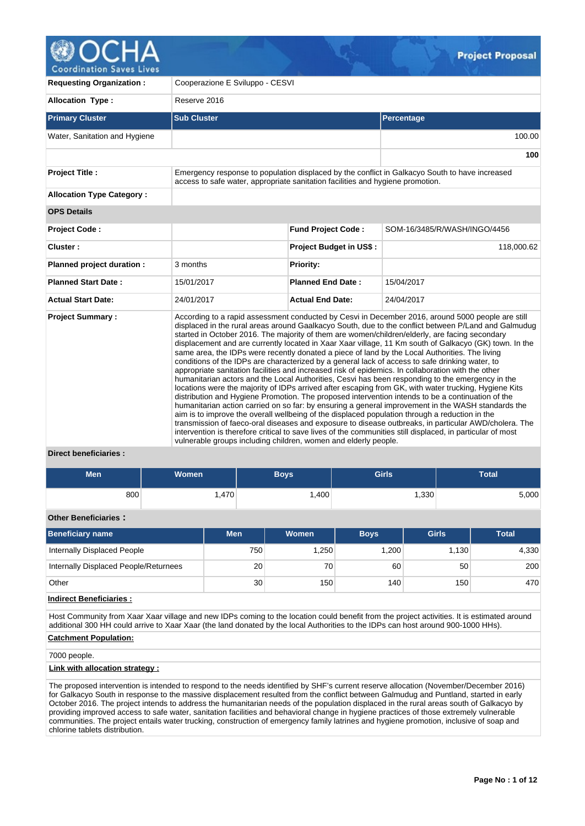

**Coordination Saves Lives** 

| <b>Requesting Organization:</b>  | Cooperazione E Sviluppo - CESVI                                                |                                |                                                                                                                                                                                                                                                                                                                                                                                                                                                                                                                                                                                                                                                                                                                                                                                                                                                                                                                                                                                                                                                                                                                                                                                                                                                                                                                                                                                                                                                                                   |  |  |  |  |  |  |  |
|----------------------------------|--------------------------------------------------------------------------------|--------------------------------|-----------------------------------------------------------------------------------------------------------------------------------------------------------------------------------------------------------------------------------------------------------------------------------------------------------------------------------------------------------------------------------------------------------------------------------------------------------------------------------------------------------------------------------------------------------------------------------------------------------------------------------------------------------------------------------------------------------------------------------------------------------------------------------------------------------------------------------------------------------------------------------------------------------------------------------------------------------------------------------------------------------------------------------------------------------------------------------------------------------------------------------------------------------------------------------------------------------------------------------------------------------------------------------------------------------------------------------------------------------------------------------------------------------------------------------------------------------------------------------|--|--|--|--|--|--|--|
| <b>Allocation Type:</b>          | Reserve 2016                                                                   |                                |                                                                                                                                                                                                                                                                                                                                                                                                                                                                                                                                                                                                                                                                                                                                                                                                                                                                                                                                                                                                                                                                                                                                                                                                                                                                                                                                                                                                                                                                                   |  |  |  |  |  |  |  |
| <b>Primary Cluster</b>           | <b>Sub Cluster</b>                                                             |                                | Percentage                                                                                                                                                                                                                                                                                                                                                                                                                                                                                                                                                                                                                                                                                                                                                                                                                                                                                                                                                                                                                                                                                                                                                                                                                                                                                                                                                                                                                                                                        |  |  |  |  |  |  |  |
| Water, Sanitation and Hygiene    |                                                                                |                                | 100.00                                                                                                                                                                                                                                                                                                                                                                                                                                                                                                                                                                                                                                                                                                                                                                                                                                                                                                                                                                                                                                                                                                                                                                                                                                                                                                                                                                                                                                                                            |  |  |  |  |  |  |  |
|                                  |                                                                                |                                | 100                                                                                                                                                                                                                                                                                                                                                                                                                                                                                                                                                                                                                                                                                                                                                                                                                                                                                                                                                                                                                                                                                                                                                                                                                                                                                                                                                                                                                                                                               |  |  |  |  |  |  |  |
| <b>Project Title:</b>            | access to safe water, appropriate sanitation facilities and hygiene promotion. |                                | Emergency response to population displaced by the conflict in Galkacyo South to have increased                                                                                                                                                                                                                                                                                                                                                                                                                                                                                                                                                                                                                                                                                                                                                                                                                                                                                                                                                                                                                                                                                                                                                                                                                                                                                                                                                                                    |  |  |  |  |  |  |  |
| <b>Allocation Type Category:</b> |                                                                                |                                |                                                                                                                                                                                                                                                                                                                                                                                                                                                                                                                                                                                                                                                                                                                                                                                                                                                                                                                                                                                                                                                                                                                                                                                                                                                                                                                                                                                                                                                                                   |  |  |  |  |  |  |  |
| <b>OPS Details</b>               |                                                                                |                                |                                                                                                                                                                                                                                                                                                                                                                                                                                                                                                                                                                                                                                                                                                                                                                                                                                                                                                                                                                                                                                                                                                                                                                                                                                                                                                                                                                                                                                                                                   |  |  |  |  |  |  |  |
| <b>Project Code:</b>             |                                                                                | <b>Fund Project Code:</b>      | SOM-16/3485/R/WASH/INGO/4456                                                                                                                                                                                                                                                                                                                                                                                                                                                                                                                                                                                                                                                                                                                                                                                                                                                                                                                                                                                                                                                                                                                                                                                                                                                                                                                                                                                                                                                      |  |  |  |  |  |  |  |
| Cluster:                         |                                                                                | <b>Project Budget in US\$:</b> | 118,000.62                                                                                                                                                                                                                                                                                                                                                                                                                                                                                                                                                                                                                                                                                                                                                                                                                                                                                                                                                                                                                                                                                                                                                                                                                                                                                                                                                                                                                                                                        |  |  |  |  |  |  |  |
| Planned project duration :       | 3 months                                                                       | Priority:                      |                                                                                                                                                                                                                                                                                                                                                                                                                                                                                                                                                                                                                                                                                                                                                                                                                                                                                                                                                                                                                                                                                                                                                                                                                                                                                                                                                                                                                                                                                   |  |  |  |  |  |  |  |
| <b>Planned Start Date:</b>       | 15/01/2017                                                                     | <b>Planned End Date:</b>       | 15/04/2017                                                                                                                                                                                                                                                                                                                                                                                                                                                                                                                                                                                                                                                                                                                                                                                                                                                                                                                                                                                                                                                                                                                                                                                                                                                                                                                                                                                                                                                                        |  |  |  |  |  |  |  |
| <b>Actual Start Date:</b>        | 24/01/2017                                                                     | <b>Actual End Date:</b>        | 24/04/2017                                                                                                                                                                                                                                                                                                                                                                                                                                                                                                                                                                                                                                                                                                                                                                                                                                                                                                                                                                                                                                                                                                                                                                                                                                                                                                                                                                                                                                                                        |  |  |  |  |  |  |  |
| <b>Project Summary:</b>          | vulnerable groups including children, women and elderly people.                |                                | According to a rapid assessment conducted by Cesvi in December 2016, around 5000 people are still<br>displaced in the rural areas around Gaalkacyo South, due to the conflict between P/Land and Galmudug<br>started in October 2016. The majority of them are women/children/elderly, are facing secondary<br>displacement and are currently located in Xaar Xaar village, 11 Km south of Galkacyo (GK) town. In the<br>same area, the IDPs were recently donated a piece of land by the Local Authorities. The living<br>conditions of the IDPs are characterized by a general lack of access to safe drinking water, to<br>appropriate sanitation facilities and increased risk of epidemics. In collaboration with the other<br>humanitarian actors and the Local Authorities, Cesvi has been responding to the emergency in the<br>locations were the majority of IDPs arrived after escaping from GK, with water trucking, Hygiene Kits<br>distribution and Hygiene Promotion. The proposed intervention intends to be a continuation of the<br>humanitarian action carried on so far: by ensuring a general improvement in the WASH standards the<br>aim is to improve the overall wellbeing of the displaced population through a reduction in the<br>transmission of faeco-oral diseases and exposure to disease outbreaks, in particular AWD/cholera. The<br>intervention is therefore critical to save lives of the communities still displaced, in particular of most |  |  |  |  |  |  |  |

# **Direct beneficiaries :**

| <b>Men</b> | <b>Women</b> | <b>Boys</b>       | <b>Girls</b>      | <b>Total</b> |  |  |
|------------|--------------|-------------------|-------------------|--------------|--|--|
| 800        | ا 470,∴      | .400 <sup>1</sup> | .330 <sup>1</sup> | 5,000        |  |  |

# **Other Beneficiaries :**

| <b>Men</b> | Women            | <b>Boys</b> | <b>Girls</b> | <b>Total</b> |
|------------|------------------|-------------|--------------|--------------|
| 750        | .250             | 1.200       | 1.130        | 4,330        |
| 20         | 70               | 60          | 50           | 200          |
| 30         | 150 <sub>1</sub> | 140         | 150          | 470          |
|            |                  |             |              |              |

# **Indirect Beneficiaries :**

Host Community from Xaar Xaar village and new IDPs coming to the location could benefit from the project activities. It is estimated around additional 300 HH could arrive to Xaar Xaar (the land donated by the local Authorities to the IDPs can host around 900-1000 HHs).

# **Catchment Population:**

7000 people.

# **Link with allocation strategy :**

The proposed intervention is intended to respond to the needs identified by SHF's current reserve allocation (November/December 2016) for Galkacyo South in response to the massive displacement resulted from the conflict between Galmudug and Puntland, started in early October 2016. The project intends to address the humanitarian needs of the population displaced in the rural areas south of Galkacyo by providing improved access to safe water, sanitation facilities and behavioral change in hygiene practices of those extremely vulnerable communities. The project entails water trucking, construction of emergency family latrines and hygiene promotion, inclusive of soap and chlorine tablets distribution.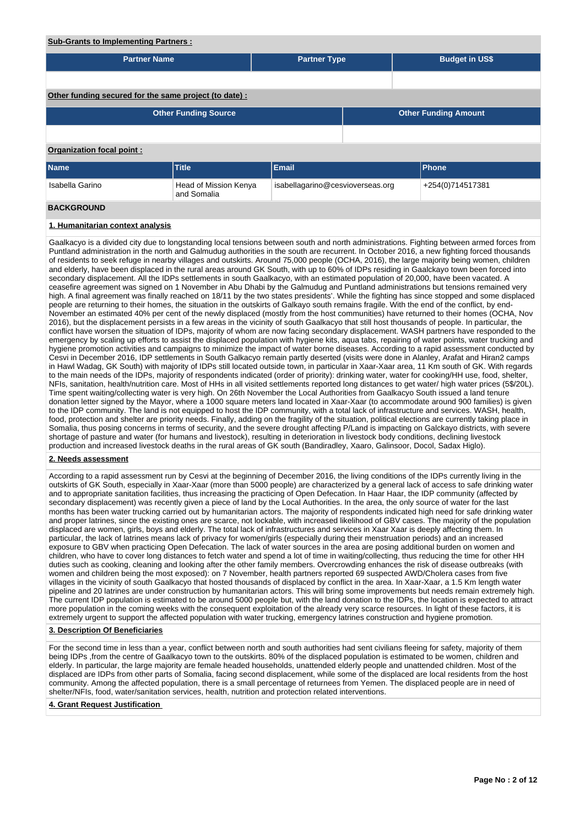# **Sub-Grants to Implementing Partners :**

| <b>Partner Name</b>                                   |                                      | <b>Partner Type</b>                                  |                             | <b>Budget in US\$</b> |  |  |  |  |  |
|-------------------------------------------------------|--------------------------------------|------------------------------------------------------|-----------------------------|-----------------------|--|--|--|--|--|
|                                                       |                                      |                                                      |                             |                       |  |  |  |  |  |
| Other funding secured for the same project (to date): |                                      |                                                      |                             |                       |  |  |  |  |  |
|                                                       | <b>Other Funding Source</b>          |                                                      | <b>Other Funding Amount</b> |                       |  |  |  |  |  |
|                                                       |                                      |                                                      |                             |                       |  |  |  |  |  |
| Organization focal point:                             |                                      |                                                      |                             |                       |  |  |  |  |  |
| <b>Name</b>                                           | Title                                | Email                                                |                             | Phone                 |  |  |  |  |  |
| Isabella Garino                                       | Head of Mission Kenya<br>and Somalia | isabellagarino@cesvioverseas.org<br>+254(0)714517381 |                             |                       |  |  |  |  |  |
| <b>BACKGROUND</b>                                     |                                      |                                                      |                             |                       |  |  |  |  |  |

# **1. Humanitarian context analysis**

Gaalkacyo is a divided city due to longstanding local tensions between south and north administrations. Fighting between armed forces from Puntland administration in the north and Galmudug authorities in the south are recurrent. In October 2016, a new fighting forced thousands of residents to seek refuge in nearby villages and outskirts. Around 75,000 people (OCHA, 2016), the large majority being women, children and elderly, have been displaced in the rural areas around GK South, with up to 60% of IDPs residing in Gaalckayo town been forced into secondary displacement. All the IDPs settlements in south Gaalkacyo, with an estimated population of 20,000, have been vacated. A ceasefire agreement was signed on 1 November in Abu Dhabi by the Galmudug and Puntland administrations but tensions remained very high. A final agreement was finally reached on 18/11 by the two states presidents'. While the fighting has since stopped and some displaced people are returning to their homes, the situation in the outskirts of Galkayo south remains fragile. With the end of the conflict, by end-November an estimated 40% per cent of the newly displaced (mostly from the host communities) have returned to their homes (OCHA, Nov 2016), but the displacement persists in a few areas in the vicinity of south Gaalkacyo that still host thousands of people. In particular, the conflict have worsen the situation of IDPs, majority of whom are now facing secondary displacement. WASH partners have responded to the emergency by scaling up efforts to assist the displaced population with hygiene kits, aqua tabs, repairing of water points, water trucking and hygiene promotion activities and campaigns to minimize the impact of water borne diseases. According to a rapid assessment conducted by Cesvi in December 2016, IDP settlements in South Galkacyo remain partly deserted (visits were done in Alanley, Arafat and Hiran2 camps in Hawl Wadag, GK South) with majority of IDPs still located outside town, in particular in Xaar-Xaar area, 11 Km south of GK. With regards to the main needs of the IDPs, majority of respondents indicated (order of priority): drinking water, water for cooking/HH use, food, shelter, NFIs, sanitation, health/nutrition care. Most of HHs in all visited settlements reported long distances to get water/ high water prices (5\$/20L). Time spent waiting/collecting water is very high. On 26th November the Local Authorities from Gaalkacyo South issued a land tenure donation letter signed by the Mayor, where a 1000 square meters land located in Xaar-Xaar (to accommodate around 900 families) is given to the IDP community. The land is not equipped to host the IDP community, with a total lack of infrastructure and services. WASH, health, food, protection and shelter are priority needs. Finally, adding on the fragility of the situation, political elections are currently taking place in Somalia, thus posing concerns in terms of security, and the severe drought affecting P/Land is impacting on Galckayo districts, with severe shortage of pasture and water (for humans and livestock), resulting in deterioration in livestock body conditions, declining livestock production and increased livestock deaths in the rural areas of GK south (Bandiradley, Xaaro, Galinsoor, Docol, Sadax Higlo).

### **2. Needs assessment**

According to a rapid assessment run by Cesvi at the beginning of December 2016, the living conditions of the IDPs currently living in the outskirts of GK South, especially in Xaar-Xaar (more than 5000 people) are characterized by a general lack of access to safe drinking water and to appropriate sanitation facilities, thus increasing the practicing of Open Defecation. In Haar Haar, the IDP community (affected by secondary displacement) was recently given a piece of land by the Local Authorities. In the area, the only source of water for the last months has been water trucking carried out by humanitarian actors. The majority of respondents indicated high need for safe drinking water and proper latrines, since the existing ones are scarce, not lockable, with increased likelihood of GBV cases. The majority of the population displaced are women, girls, boys and elderly. The total lack of infrastructures and services in Xaar Xaar is deeply affecting them. In particular, the lack of latrines means lack of privacy for women/girls (especially during their menstruation periods) and an increased exposure to GBV when practicing Open Defecation. The lack of water sources in the area are posing additional burden on women and children, who have to cover long distances to fetch water and spend a lot of time in waiting/collecting, thus reducing the time for other HH duties such as cooking, cleaning and looking after the other family members. Overcrowding enhances the risk of disease outbreaks (with women and children being the most exposed): on 7 November, health partners reported 69 suspected AWD/Cholera cases from five villages in the vicinity of south Gaalkacyo that hosted thousands of displaced by conflict in the area. In Xaar-Xaar, a 1.5 Km length water pipeline and 20 latrines are under construction by humanitarian actors. This will bring some improvements but needs remain extremely high. The current IDP population is estimated to be around 5000 people but, with the land donation to the IDPs, the location is expected to attract more population in the coming weeks with the consequent exploitation of the already very scarce resources. In light of these factors, it is extremely urgent to support the affected population with water trucking, emergency latrines construction and hygiene promotion.

## **3. Description Of Beneficiaries**

For the second time in less than a year, conflict between north and south authorities had sent civilians fleeing for safety, majority of them being IDPs ,from the centre of Gaalkacyo town to the outskirts. 80% of the displaced population is estimated to be women, children and elderly. In particular, the large majority are female headed households, unattended elderly people and unattended children. Most of the displaced are IDPs from other parts of Somalia, facing second displacement, while some of the displaced are local residents from the host community. Among the affected population, there is a small percentage of returnees from Yemen. The displaced people are in need of shelter/NFIs, food, water/sanitation services, health, nutrition and protection related interventions.

# **4. Grant Request Justification**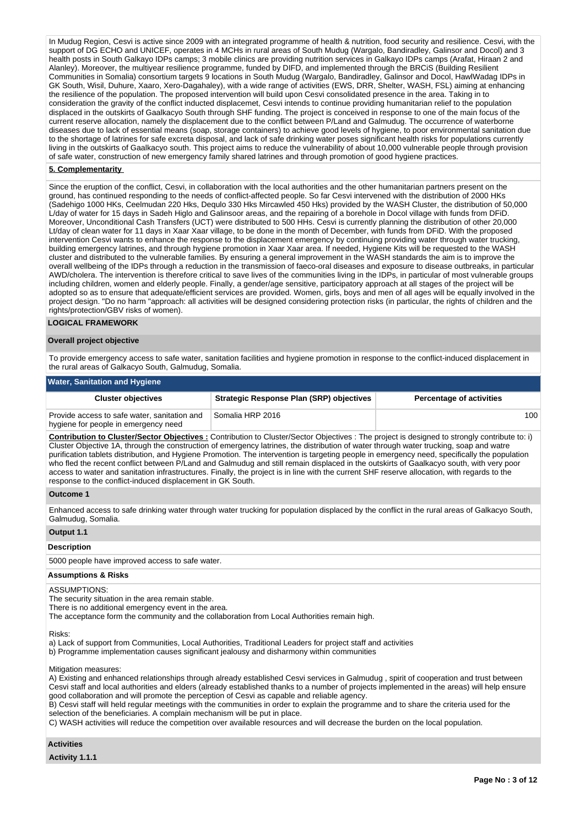In Mudug Region, Cesvi is active since 2009 with an integrated programme of health & nutrition, food security and resilience. Cesvi, with the support of DG ECHO and UNICEF, operates in 4 MCHs in rural areas of South Mudug (Wargalo, Bandiradley, Galinsor and Docol) and 3 health posts in South Galkayo IDPs camps; 3 mobile clinics are providing nutrition services in Galkayo IDPs camps (Arafat, Hiraan 2 and Alanley). Moreover, the multiyear resilience programme, funded by DIFD, and implemented through the BRCiS (Building Resilient Communities in Somalia) consortium targets 9 locations in South Mudug (Wargalo, Bandiradley, Galinsor and Docol, HawlWadag IDPs in GK South, Wisil, Duhure, Xaaro, Xero-Dagahaley), with a wide range of activities (EWS, DRR, Shelter, WASH, FSL) aiming at enhancing the resilience of the population. The proposed intervention will build upon Cesvi consolidated presence in the area. Taking in to consideration the gravity of the conflict inducted displacemet, Cesvi intends to continue providing humanitarian relief to the population displaced in the outskirts of Gaalkacyo South through SHF funding. The project is conceived in response to one of the main focus of the current reserve allocation, namely the displacement due to the conflict between P/Land and Galmudug. The occurrence of waterborne diseases due to lack of essential means (soap, storage containers) to achieve good levels of hygiene, to poor environmental sanitation due to the shortage of latrines for safe excreta disposal, and lack of safe drinking water poses significant health risks for populations currently living in the outskirts of Gaalkacyo south. This project aims to reduce the vulnerability of about 10,000 vulnerable people through provision of safe water, construction of new emergency family shared latrines and through promotion of good hygiene practices.

# **5. Complementarity**

Since the eruption of the conflict, Cesvi, in collaboration with the local authorities and the other humanitarian partners present on the ground, has continued responding to the needs of conflict-affected people. So far Cesvi intervened with the distribution of 2000 HKs (Sadehigo 1000 HKs, Ceelmudan 220 Hks, Dequlo 330 Hks Mircawled 450 Hks) provided by the WASH Cluster, the distribution of 50,000 L/day of water for 15 days in Sadeh Higlo and Galinsoor areas, and the repairing of a borehole in Docol village with funds from DFiD. Moreover, Unconditional Cash Transfers (UCT) were distributed to 500 HHs. Cesvi is currently planning the distribution of other 20,000 Lt/day of clean water for 11 days in Xaar Xaar village, to be done in the month of December, with funds from DFiD. With the proposed intervention Cesvi wants to enhance the response to the displacement emergency by continuing providing water through water trucking, building emergency latrines, and through hygiene promotion in Xaar Xaar area. If needed, Hygiene Kits will be requested to the WASH cluster and distributed to the vulnerable families. By ensuring a general improvement in the WASH standards the aim is to improve the overall wellbeing of the IDPs through a reduction in the transmission of faeco-oral diseases and exposure to disease outbreaks, in particular AWD/cholera. The intervention is therefore critical to save lives of the communities living in the IDPs, in particular of most vulnerable groups including children, women and elderly people. Finally, a gender/age sensitive, participatory approach at all stages of the project will be adopted so as to ensure that adequate/efficient services are provided. Women, girls, boys and men of all ages will be equally involved in the project design. "Do no harm "approach: all activities will be designed considering protection risks (in particular, the rights of children and the rights/protection/GBV risks of women).

### **LOGICAL FRAMEWORK**

### **Overall project objective**

To provide emergency access to safe water, sanitation facilities and hygiene promotion in response to the conflict-induced displacement in the rural areas of Galkacyo South, Galmudug, Somalia.

### **Water, Sanitation and Hygiene**

| <b>Cluster objectives</b>                                                            | <b>Strategic Response Plan (SRP) objectives</b> | <b>Percentage of activities</b> |
|--------------------------------------------------------------------------------------|-------------------------------------------------|---------------------------------|
| Provide access to safe water, sanitation and<br>hygiene for people in emergency need | l Somalia HRP 2016 l                            | 100                             |

**Contribution to Cluster/Sector Objectives :** Contribution to Cluster/Sector Objectives : The project is designed to strongly contribute to: i) Cluster Objective 1A, through the construction of emergency latrines, the distribution of water through water trucking, soap and watre purification tablets distribution, and Hygiene Promotion. The intervention is targeting people in emergency need, specifically the population who fled the recent conflict between P/Land and Galmudug and still remain displaced in the outskirts of Gaalkacyo south, with very poor access to water and sanitation infrastructures. Finally, the project is in line with the current SHF reserve allocation, with regards to the response to the conflict-induced displacement in GK South.

#### **Outcome 1**

Enhanced access to safe drinking water through water trucking for population displaced by the conflict in the rural areas of Galkacyo South, Galmudug, Somalia.

### **Output 1.1**

#### **Description**

5000 people have improved access to safe water.

## **Assumptions & Risks**

### ASSUMPTIONS:

The security situation in the area remain stable.

There is no additional emergency event in the area.

The acceptance form the community and the collaboration from Local Authorities remain high.

#### Risks:

a) Lack of support from Communities, Local Authorities, Traditional Leaders for project staff and activities b) Programme implementation causes significant jealousy and disharmony within communities

Mitigation measures:

A) Existing and enhanced relationships through already established Cesvi services in Galmudug , spirit of cooperation and trust between Cesvi staff and local authorities and elders (already established thanks to a number of projects implemented in the areas) will help ensure good collaboration and will promote the perception of Cesvi as capable and reliable agency.

B) Cesvi staff will held regular meetings with the communities in order to explain the programme and to share the criteria used for the selection of the beneficiaries. A complain mechanism will be put in place.

C) WASH activities will reduce the competition over available resources and will decrease the burden on the local population.

# **Activities**

**Activity 1.1.1**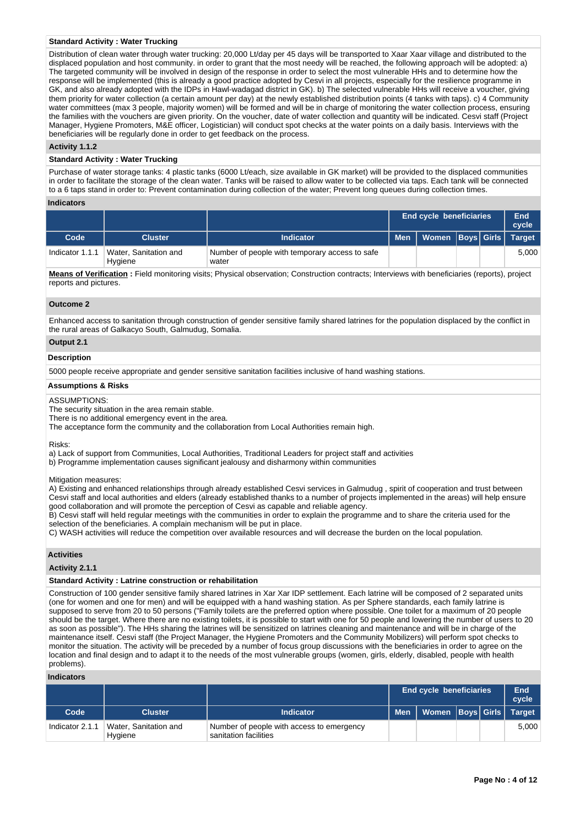## **Standard Activity : Water Trucking**

Distribution of clean water through water trucking: 20,000 Lt/day per 45 days will be transported to Xaar Xaar village and distributed to the displaced population and host community. in order to grant that the most needy will be reached, the following approach will be adopted: a) The targeted community will be involved in design of the response in order to select the most vulnerable HHs and to determine how the response will be implemented (this is already a good practice adopted by Cesvi in all projects, especially for the resilience programme in GK, and also already adopted with the IDPs in Hawl-wadagad district in GK). b) The selected vulnerable HHs will receive a voucher, giving them priority for water collection (a certain amount per day) at the newly established distribution points (4 tanks with taps). c) 4 Community water committees (max 3 people, majority women) will be formed and will be in charge of monitoring the water collection process, ensuring the families with the vouchers are given priority. On the voucher, date of water collection and quantity will be indicated. Cesvi staff (Project Manager, Hygiene Promoters, M&E officer, Logistician) will conduct spot checks at the water points on a daily basis. Interviews with the beneficiaries will be regularly done in order to get feedback on the process.

## **Activity 1.1.2**

### **Standard Activity : Water Trucking**

Purchase of water storage tanks: 4 plastic tanks (6000 Lt/each, size available in GK market) will be provided to the displaced communities in order to facilitate the storage of the clean water. Tanks will be raised to allow water to be collected via taps. Each tank will be connected to a 6 taps stand in order to: Prevent contamination during collection of the water; Prevent long queues during collection times.

### **Indicators**

|                 |                                  |                                                         | <b>End cycle beneficiaries</b>      |  | End<br>cycle |
|-----------------|----------------------------------|---------------------------------------------------------|-------------------------------------|--|--------------|
| Code            | <b>Cluster</b>                   | Indicator                                               | Men   Women   Boys   Girls   Target |  |              |
| Indicator 1.1.1 | Water, Sanitation and<br>Hygiene | Number of people with temporary access to safe<br>water |                                     |  | 5.000        |

**Means of Verification :** Field monitoring visits; Physical observation; Construction contracts; Interviews with beneficiaries (reports), project reports and pictures.

### **Outcome 2**

Enhanced access to sanitation through construction of gender sensitive family shared latrines for the population displaced by the conflict in the rural areas of Galkacyo South, Galmudug, Somalia.

### **Output 2.1**

### **Description**

5000 people receive appropriate and gender sensitive sanitation facilities inclusive of hand washing stations.

## **Assumptions & Risks**

#### ASSUMPTIONS:

The security situation in the area remain stable.

There is no additional emergency event in the area.

The acceptance form the community and the collaboration from Local Authorities remain high.

Risks:

a) Lack of support from Communities, Local Authorities, Traditional Leaders for project staff and activities b) Programme implementation causes significant jealousy and disharmony within communities

Mitigation measures:

A) Existing and enhanced relationships through already established Cesvi services in Galmudug , spirit of cooperation and trust between Cesvi staff and local authorities and elders (already established thanks to a number of projects implemented in the areas) will help ensure good collaboration and will promote the perception of Cesvi as capable and reliable agency.

B) Cesvi staff will held regular meetings with the communities in order to explain the programme and to share the criteria used for the selection of the beneficiaries. A complain mechanism will be put in place.

C) WASH activities will reduce the competition over available resources and will decrease the burden on the local population.

# **Activities**

**Activity 2.1.1** 

# **Standard Activity : Latrine construction or rehabilitation**

Construction of 100 gender sensitive family shared latrines in Xar Xar IDP settlement. Each latrine will be composed of 2 separated units (one for women and one for men) and will be equipped with a hand washing station. As per Sphere standards, each family latrine is supposed to serve from 20 to 50 persons ("Family toilets are the preferred option where possible. One toilet for a maximum of 20 people should be the target. Where there are no existing toilets, it is possible to start with one for 50 people and lowering the number of users to 20 as soon as possible"). The HHs sharing the latrines will be sensitized on latrines cleaning and maintenance and will be in charge of the maintenance itself. Cesvi staff (the Project Manager, the Hygiene Promoters and the Community Mobilizers) will perform spot checks to monitor the situation. The activity will be preceded by a number of focus group discussions with the beneficiaries in order to agree on the location and final design and to adapt it to the needs of the most vulnerable groups (women, girls, elderly, disabled, people with health problems).

## **Indicators**

|                 |                                  |                                                                    | End cycle beneficiaries             |  | End<br>cycle |
|-----------------|----------------------------------|--------------------------------------------------------------------|-------------------------------------|--|--------------|
| Code            | <b>Cluster</b>                   | <b>Indicator</b>                                                   | Men   Women   Boys   Girls   Target |  |              |
| Indicator 2.1.1 | Water, Sanitation and<br>Hygiene | Number of people with access to emergency<br>sanitation facilities |                                     |  | 5.000        |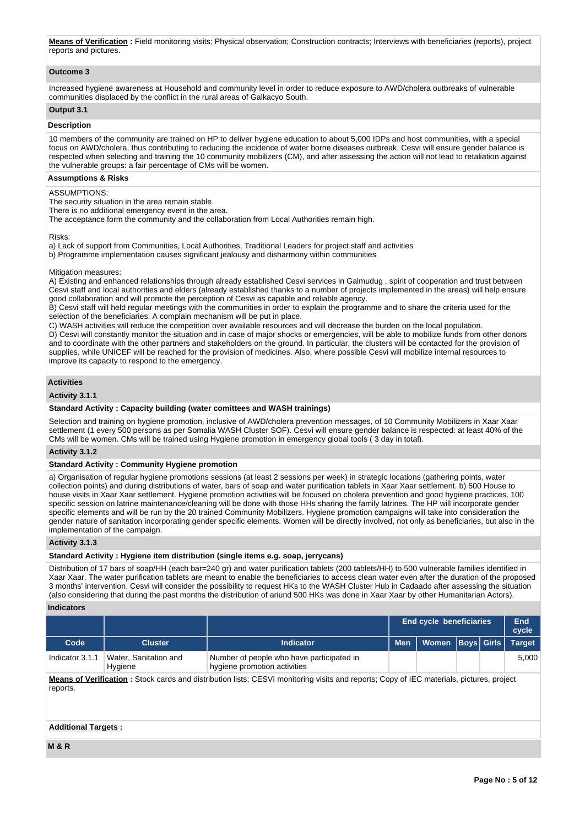**Means of Verification:** Field monitoring visits: Physical observation: Construction contracts: Interviews with beneficiaries (reports), project reports and pictures.

# **Outcome 3**

Increased hygiene awareness at Household and community level in order to reduce exposure to AWD/cholera outbreaks of vulnerable communities displaced by the conflict in the rural areas of Galkacyo South.

# **Output 3.1**

## **Description**

10 members of the community are trained on HP to deliver hygiene education to about 5,000 IDPs and host communities, with a special focus on AWD/cholera, thus contributing to reducing the incidence of water borne diseases outbreak. Cesvi will ensure gender balance is respected when selecting and training the 10 community mobilizers (CM), and after assessing the action will not lead to retaliation against the vulnerable groups: a fair percentage of CMs will be women.

# **Assumptions & Risks**

## ASSUMPTIONS:

The security situation in the area remain stable.

There is no additional emergency event in the area.

The acceptance form the community and the collaboration from Local Authorities remain high.

### Risks:

a) Lack of support from Communities, Local Authorities, Traditional Leaders for project staff and activities b) Programme implementation causes significant jealousy and disharmony within communities

## Mitigation measures:

A) Existing and enhanced relationships through already established Cesvi services in Galmudug , spirit of cooperation and trust between Cesvi staff and local authorities and elders (already established thanks to a number of projects implemented in the areas) will help ensure good collaboration and will promote the perception of Cesvi as capable and reliable agency.

B) Cesvi staff will held regular meetings with the communities in order to explain the programme and to share the criteria used for the selection of the beneficiaries. A complain mechanism will be put in place.

C) WASH activities will reduce the competition over available resources and will decrease the burden on the local population.

D) Cesvi will constantly monitor the situation and in case of major shocks or emergencies, will be able to mobilize funds from other donors and to coordinate with the other partners and stakeholders on the ground. In particular, the clusters will be contacted for the provision of supplies, while UNICEF will be reached for the provision of medicines. Also, where possible Cesvi will mobilize internal resources to improve its capacity to respond to the emergency.

## **Activities**

## **Activity 3.1.1**

## **Standard Activity : Capacity building (water comittees and WASH trainings)**

Selection and training on hygiene promotion, inclusive of AWD/cholera prevention messages, of 10 Community Mobilizers in Xaar Xaar settlement (1 every 500 persons as per Somalia WASH Cluster SOF). Cesvi will ensure gender balance is respected: at least 40% of the CMs will be women. CMs will be trained using Hygiene promotion in emergency global tools ( 3 day in total).

## **Activity 3.1.2**

### **Standard Activity : Community Hygiene promotion**

a) Organisation of regular hygiene promotions sessions (at least 2 sessions per week) in strategic locations (gathering points, water collection points) and during distributions of water, bars of soap and water purification tablets in Xaar Xaar settlement. b) 500 House to house visits in Xaar Xaar settlement. Hygiene promotion activities will be focused on cholera prevention and good hygiene practices. 100 specific session on latrine maintenance/cleaning will be done with those HHs sharing the family latrines. The HP will incorporate gender specific elements and will be run by the 20 trained Community Mobilizers. Hygiene promotion campaigns will take into consideration the gender nature of sanitation incorporating gender specific elements. Women will be directly involved, not only as beneficiaries, but also in the implementation of the campaign.

## **Activity 3.1.3**

### **Standard Activity : Hygiene item distribution (single items e.g. soap, jerrycans)**

Distribution of 17 bars of soap/HH (each bar=240 gr) and water purification tablets (200 tablets/HH) to 500 vulnerable families identified in Xaar Xaar. The water purification tablets are meant to enable the beneficiaries to access clean water even after the duration of the proposed 3 months' intervention. Cesvi will consider the possibility to request HKs to the WASH Cluster Hub in Cadaado after assessing the situation (also considering that during the past months the distribution of ariund 500 HKs was done in Xaar Xaar by other Humanitarian Actors).

# **Indicators**

|                 |                                  |                                                                           | <b>End cycle beneficiaries</b>      |  | End<br>cycle |
|-----------------|----------------------------------|---------------------------------------------------------------------------|-------------------------------------|--|--------------|
| Code            | <b>Cluster</b>                   | Indicator                                                                 | Men   Women   Boys   Girls   Target |  |              |
| Indicator 3.1.1 | Water, Sanitation and<br>Hygiene | Number of people who have participated in<br>hygiene promotion activities |                                     |  | 5.000        |

**Means of Verification :** Stock cards and distribution lists; CESVI monitoring visits and reports; Copy of IEC materials, pictures, project reports.

# **Additional Targets :**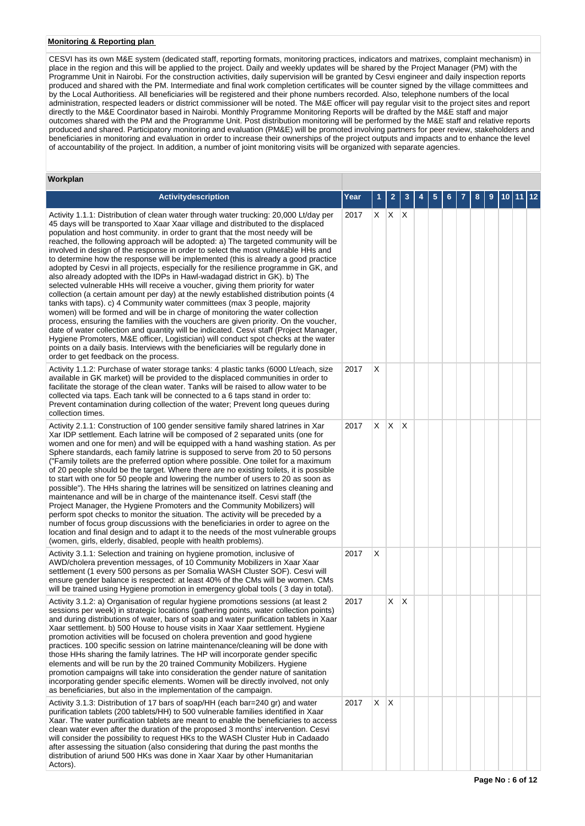# **Monitoring & Reporting plan**

CESVI has its own M&E system (dedicated staff, reporting formats, monitoring practices, indicators and matrixes, complaint mechanism) in place in the region and this will be applied to the project. Daily and weekly updates will be shared by the Project Manager (PM) with the Programme Unit in Nairobi. For the construction activities, daily supervision will be granted by Cesvi engineer and daily inspection reports produced and shared with the PM. Intermediate and final work completion certificates will be counter signed by the village committees and by the Local Authoritiess. All beneficiaries will be registered and their phone numbers recorded. Also, telephone numbers of the local administration, respected leaders or district commissioner will be noted. The M&E officer will pay regular visit to the project sites and report directly to the M&E Coordinator based in Nairobi. Monthly Programme Monitoring Reports will be drafted by the M&E staff and major outcomes shared with the PM and the Programme Unit. Post distribution monitoring will be performed by the M&E staff and relative reports produced and shared. Participatory monitoring and evaluation (PM&E) will be promoted involving partners for peer review, stakeholders and beneficiaries in monitoring and evaluation in order to increase their ownerships of the project outputs and impacts and to enhance the level of accountability of the project. In addition, a number of joint monitoring visits will be organized with separate agencies.

| Workplan                                                                                                                                                                                                                                                                                                                                                                                                                                                                                                                                                                                                                                                                                                                                                                                                                                                                                                                                                                                                                                                                                                                                                                                                                                                                                                                                                                                                                                             |      |    |             |              |   |   |   |  |   |   |                    |  |
|------------------------------------------------------------------------------------------------------------------------------------------------------------------------------------------------------------------------------------------------------------------------------------------------------------------------------------------------------------------------------------------------------------------------------------------------------------------------------------------------------------------------------------------------------------------------------------------------------------------------------------------------------------------------------------------------------------------------------------------------------------------------------------------------------------------------------------------------------------------------------------------------------------------------------------------------------------------------------------------------------------------------------------------------------------------------------------------------------------------------------------------------------------------------------------------------------------------------------------------------------------------------------------------------------------------------------------------------------------------------------------------------------------------------------------------------------|------|----|-------------|--------------|---|---|---|--|---|---|--------------------|--|
| <b>Activitydescription</b>                                                                                                                                                                                                                                                                                                                                                                                                                                                                                                                                                                                                                                                                                                                                                                                                                                                                                                                                                                                                                                                                                                                                                                                                                                                                                                                                                                                                                           | Year |    | 2           | 3            | 4 | 5 | 6 |  | 8 | 9 | 10  11   <u>12</u> |  |
| Activity 1.1.1: Distribution of clean water through water trucking: 20,000 Lt/day per<br>45 days will be transported to Xaar Xaar village and distributed to the displaced<br>population and host community. in order to grant that the most needy will be<br>reached, the following approach will be adopted: a) The targeted community will be<br>involved in design of the response in order to select the most vulnerable HHs and<br>to determine how the response will be implemented (this is already a good practice<br>adopted by Cesvi in all projects, especially for the resilience programme in GK, and<br>also already adopted with the IDPs in Hawl-wadagad district in GK). b) The<br>selected vulnerable HHs will receive a voucher, giving them priority for water<br>collection (a certain amount per day) at the newly established distribution points (4<br>tanks with taps). c) 4 Community water committees (max 3 people, majority<br>women) will be formed and will be in charge of monitoring the water collection<br>process, ensuring the families with the vouchers are given priority. On the voucher,<br>date of water collection and quantity will be indicated. Cesvi staff (Project Manager,<br>Hygiene Promoters, M&E officer, Logistician) will conduct spot checks at the water<br>points on a daily basis. Interviews with the beneficiaries will be regularly done in<br>order to get feedback on the process. | 2017 |    | $X$ $X$ $X$ |              |   |   |   |  |   |   |                    |  |
| Activity 1.1.2: Purchase of water storage tanks: 4 plastic tanks (6000 Lt/each, size<br>available in GK market) will be provided to the displaced communities in order to<br>facilitate the storage of the clean water. Tanks will be raised to allow water to be<br>collected via taps. Each tank will be connected to a 6 taps stand in order to:<br>Prevent contamination during collection of the water; Prevent long queues during<br>collection times.                                                                                                                                                                                                                                                                                                                                                                                                                                                                                                                                                                                                                                                                                                                                                                                                                                                                                                                                                                                         | 2017 | Х  |             |              |   |   |   |  |   |   |                    |  |
| Activity 2.1.1: Construction of 100 gender sensitive family shared latrines in Xar<br>Xar IDP settlement. Each latrine will be composed of 2 separated units (one for<br>women and one for men) and will be equipped with a hand washing station. As per<br>Sphere standards, each family latrine is supposed to serve from 20 to 50 persons<br>("Family toilets are the preferred option where possible. One toilet for a maximum<br>of 20 people should be the target. Where there are no existing toilets, it is possible<br>to start with one for 50 people and lowering the number of users to 20 as soon as<br>possible"). The HHs sharing the latrines will be sensitized on latrines cleaning and<br>maintenance and will be in charge of the maintenance itself. Cesvi staff (the<br>Project Manager, the Hygiene Promoters and the Community Mobilizers) will<br>perform spot checks to monitor the situation. The activity will be preceded by a<br>number of focus group discussions with the beneficiaries in order to agree on the<br>location and final design and to adapt it to the needs of the most vulnerable groups<br>(women, girls, elderly, disabled, people with health problems).                                                                                                                                                                                                                                          | 2017 | X. | X.          | $\mathsf{X}$ |   |   |   |  |   |   |                    |  |
| Activity 3.1.1: Selection and training on hygiene promotion, inclusive of<br>AWD/cholera prevention messages, of 10 Community Mobilizers in Xaar Xaar<br>settlement (1 every 500 persons as per Somalia WASH Cluster SOF). Cesvi will<br>ensure gender balance is respected: at least 40% of the CMs will be women. CMs<br>will be trained using Hygiene promotion in emergency global tools (3 day in total).                                                                                                                                                                                                                                                                                                                                                                                                                                                                                                                                                                                                                                                                                                                                                                                                                                                                                                                                                                                                                                       | 2017 | Х  |             |              |   |   |   |  |   |   |                    |  |
| Activity 3.1.2: a) Organisation of regular hygiene promotions sessions (at least 2<br>sessions per week) in strategic locations (gathering points, water collection points)<br>and during distributions of water, bars of soap and water purification tablets in Xaar<br>Xaar settlement. b) 500 House to house visits in Xaar Xaar settlement. Hygiene<br>promotion activities will be focused on cholera prevention and good hygiene<br>practices. 100 specific session on latrine maintenance/cleaning will be done with<br>those HHs sharing the family latrines. The HP will incorporate gender specific<br>elements and will be run by the 20 trained Community Mobilizers. Hygiene<br>promotion campaigns will take into consideration the gender nature of sanitation<br>incorporating gender specific elements. Women will be directly involved, not only<br>as beneficiaries, but also in the implementation of the campaign.                                                                                                                                                                                                                                                                                                                                                                                                                                                                                                              | 2017 |    | X           | ΙX           |   |   |   |  |   |   |                    |  |
| Activity 3.1.3: Distribution of 17 bars of soap/HH (each bar=240 gr) and water<br>purification tablets (200 tablets/HH) to 500 vulnerable families identified in Xaar<br>Xaar. The water purification tablets are meant to enable the beneficiaries to access<br>clean water even after the duration of the proposed 3 months' intervention. Cesvi<br>will consider the possibility to request HKs to the WASH Cluster Hub in Cadaado<br>after assessing the situation (also considering that during the past months the<br>distribution of ariund 500 HKs was done in Xaar Xaar by other Humanitarian<br>Actors).                                                                                                                                                                                                                                                                                                                                                                                                                                                                                                                                                                                                                                                                                                                                                                                                                                   | 2017 | X. | ΙX.         |              |   |   |   |  |   |   |                    |  |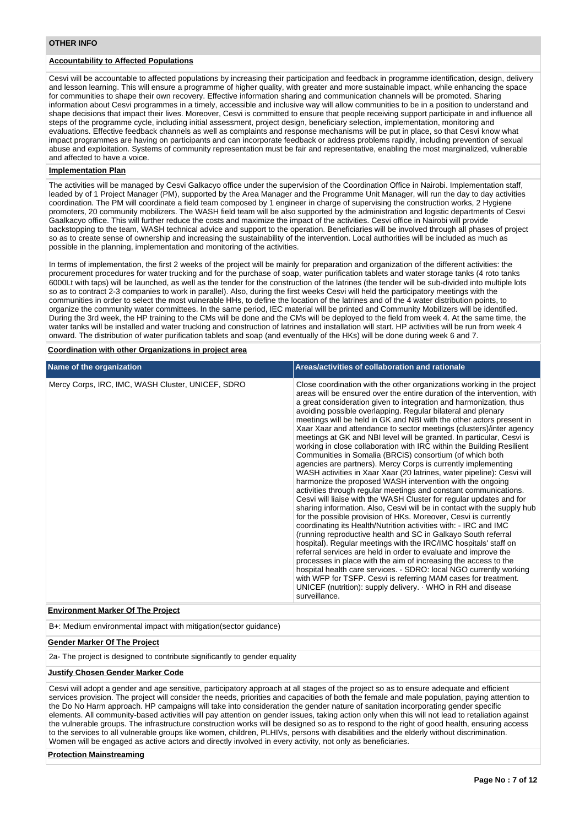# **OTHER INFO**

# **Accountability to Affected Populations**

Cesvi will be accountable to affected populations by increasing their participation and feedback in programme identification, design, delivery and lesson learning. This will ensure a programme of higher quality, with greater and more sustainable impact, while enhancing the space for communities to shape their own recovery. Effective information sharing and communication channels will be promoted. Sharing information about Cesvi programmes in a timely, accessible and inclusive way will allow communities to be in a position to understand and shape decisions that impact their lives. Moreover, Cesvi is committed to ensure that people receiving support participate in and influence all steps of the programme cycle, including initial assessment, project design, beneficiary selection, implementation, monitoring and evaluations. Effective feedback channels as well as complaints and response mechanisms will be put in place, so that Cesvi know what impact programmes are having on participants and can incorporate feedback or address problems rapidly, including prevention of sexual abuse and exploitation. Systems of community representation must be fair and representative, enabling the most marginalized, vulnerable and affected to have a voice.

# **Implementation Plan**

The activities will be managed by Cesvi Galkacyo office under the supervision of the Coordination Office in Nairobi. Implementation staff, leaded by of 1 Project Manager (PM), supported by the Area Manager and the Programme Unit Manager, will run the day to day activities coordination. The PM will coordinate a field team composed by 1 engineer in charge of supervising the construction works, 2 Hygiene promoters, 20 community mobilizers. The WASH field team will be also supported by the administration and logistic departments of Cesvi Gaalkacyo office. This will further reduce the costs and maximize the impact of the activities. Cesvi office in Nairobi will provide backstopping to the team, WASH technical advice and support to the operation. Beneficiaries will be involved through all phases of project so as to create sense of ownership and increasing the sustainability of the intervention. Local authorities will be included as much as possible in the planning, implementation and monitoring of the activities.

In terms of implementation, the first 2 weeks of the project will be mainly for preparation and organization of the different activities: the procurement procedures for water trucking and for the purchase of soap, water purification tablets and water storage tanks (4 roto tanks 6000Lt with taps) will be launched, as well as the tender for the construction of the latrines (the tender will be sub-divided into multiple lots so as to contract 2-3 companies to work in parallel). Also, during the first weeks Cesvi will held the participatory meetings with the communities in order to select the most vulnerable HHs, to define the location of the latrines and of the 4 water distribution points, to organize the community water committees. In the same period, IEC material will be printed and Community Mobilizers will be identified. During the 3rd week, the HP training to the CMs will be done and the CMs will be deployed to the field from week 4. At the same time, the water tanks will be installed and water trucking and construction of latrines and installation will start. HP activities will be run from week 4 onward. The distribution of water purification tablets and soap (and eventually of the HKs) will be done during week 6 and 7.

## **Coordination with other Organizations in project area**

| Mercy Corps, IRC, IMC, WASH Cluster, UNICEF, SDRO | Close coordination with the other organizations working in the project<br>areas will be ensured over the entire duration of the intervention, with                                                                                                                                                                                                                                                                                                                                                                                                                                                                                                                                                                                                                                                                                                                                                                                                                                                                                                                                                                                                                                                                                                                                                                                                                                                                                                                                                                                                    |
|---------------------------------------------------|-------------------------------------------------------------------------------------------------------------------------------------------------------------------------------------------------------------------------------------------------------------------------------------------------------------------------------------------------------------------------------------------------------------------------------------------------------------------------------------------------------------------------------------------------------------------------------------------------------------------------------------------------------------------------------------------------------------------------------------------------------------------------------------------------------------------------------------------------------------------------------------------------------------------------------------------------------------------------------------------------------------------------------------------------------------------------------------------------------------------------------------------------------------------------------------------------------------------------------------------------------------------------------------------------------------------------------------------------------------------------------------------------------------------------------------------------------------------------------------------------------------------------------------------------------|
| surveillance.                                     | a great consideration given to integration and harmonization, thus<br>avoiding possible overlapping. Regular bilateral and plenary<br>meetings will be held in GK and NBI with the other actors present in<br>Xaar Xaar and attendance to sector meetings (clusters)/inter agency<br>meetings at GK and NBI level will be granted. In particular, Cesvi is<br>working in close collaboration with IRC within the Building Resilient<br>Communities in Somalia (BRCiS) consortium (of which both<br>agencies are partners). Mercy Corps is currently implementing<br>WASH activities in Xaar Xaar (20 latrines, water pipeline): Cesvi will<br>harmonize the proposed WASH intervention with the ongoing<br>activities through regular meetings and constant communications.<br>Cesvi will liaise with the WASH Cluster for regular updates and for<br>sharing information. Also, Cesvi will be in contact with the supply hub<br>for the possible provision of HKs. Moreover, Cesvi is currently<br>coordinating its Health/Nutrition activities with: - IRC and IMC<br>(running reproductive health and SC in Galkayo South referral<br>hospital). Regular meetings with the IRC/IMC hospitals' staff on<br>referral services are held in order to evaluate and improve the<br>processes in place with the aim of increasing the access to the<br>hospital health care services. - SDRO: local NGO currently working<br>with WFP for TSFP. Cesvi is referring MAM cases for treatment.<br>UNICEF (nutrition): supply delivery. WHO in RH and disease |

# **Environment Marker Of The Project**

B+: Medium environmental impact with mitigation(sector guidance)

### **Gender Marker Of The Project**

2a- The project is designed to contribute significantly to gender equality

### **Justify Chosen Gender Marker Code**

Cesvi will adopt a gender and age sensitive, participatory approach at all stages of the project so as to ensure adequate and efficient services provision. The project will consider the needs, priorities and capacities of both the female and male population, paying attention to the Do No Harm approach. HP campaigns will take into consideration the gender nature of sanitation incorporating gender specific elements. All community-based activities will pay attention on gender issues, taking action only when this will not lead to retaliation against the vulnerable groups. The infrastructure construction works will be designed so as to respond to the right of good health, ensuring access to the services to all vulnerable groups like women, children, PLHIVs, persons with disabilities and the elderly without discrimination. Women will be engaged as active actors and directly involved in every activity, not only as beneficiaries.

# **Protection Mainstreaming**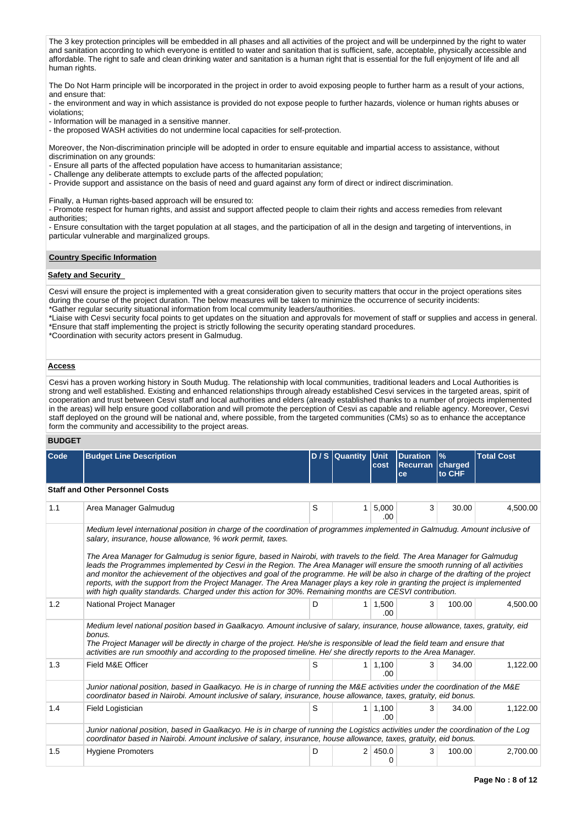The 3 key protection principles will be embedded in all phases and all activities of the project and will be underpinned by the right to water and sanitation according to which everyone is entitled to water and sanitation that is sufficient, safe, acceptable, physically accessible and affordable. The right to safe and clean drinking water and sanitation is a human right that is essential for the full enjoyment of life and all human rights.

The Do Not Harm principle will be incorporated in the project in order to avoid exposing people to further harm as a result of your actions, and ensure that:

- the environment and way in which assistance is provided do not expose people to further hazards, violence or human rights abuses or violations;

- Information will be managed in a sensitive manner.

- the proposed WASH activities do not undermine local capacities for self-protection.

Moreover, the Non-discrimination principle will be adopted in order to ensure equitable and impartial access to assistance, without discrimination on any grounds:

- Ensure all parts of the affected population have access to humanitarian assistance;

- Challenge any deliberate attempts to exclude parts of the affected population;

- Provide support and assistance on the basis of need and guard against any form of direct or indirect discrimination.

Finally, a Human rights-based approach will be ensured to:

- Promote respect for human rights, and assist and support affected people to claim their rights and access remedies from relevant authorities;

- Ensure consultation with the target population at all stages, and the participation of all in the design and targeting of interventions, in particular vulnerable and marginalized groups.

# **Country Specific Information**

# **Safety and Security**

Cesvi will ensure the project is implemented with a great consideration given to security matters that occur in the project operations sites during the course of the project duration. The below measures will be taken to minimize the occurrence of security incidents: \*Gather regular security situational information from local community leaders/authorities.

\*Liaise with Cesvi security focal points to get updates on the situation and approvals for movement of staff or supplies and access in general. \*Ensure that staff implementing the project is strictly following the security operating standard procedures.

\*Coordination with security actors present in Galmudug.

# **Access**

Cesvi has a proven working history in South Mudug. The relationship with local communities, traditional leaders and Local Authorities is strong and well established. Existing and enhanced relationships through already established Cesvi services in the targeted areas, spirit of cooperation and trust between Cesvi staff and local authorities and elders (already established thanks to a number of projects implemented in the areas) will help ensure good collaboration and will promote the perception of Cesvi as capable and reliable agency. Moreover, Cesvi staff deployed on the ground will be national and, where possible, from the targeted communities (CMs) so as to enhance the acceptance form the community and accessibility to the project areas.

# **BUDGET**

| Code | <b>Budget Line Description</b>                                                                                                                                                                                                                                                                                                                                                                                                                                                                                                                                                                                                                                                                                                                                                                                                         |   | D / S Quantity Unit | cost                  | <b>Duration</b><br>Recurran<br>ce | $\frac{9}{6}$<br>charged<br>to CHF | <b>Total Cost</b> |  |  |  |
|------|----------------------------------------------------------------------------------------------------------------------------------------------------------------------------------------------------------------------------------------------------------------------------------------------------------------------------------------------------------------------------------------------------------------------------------------------------------------------------------------------------------------------------------------------------------------------------------------------------------------------------------------------------------------------------------------------------------------------------------------------------------------------------------------------------------------------------------------|---|---------------------|-----------------------|-----------------------------------|------------------------------------|-------------------|--|--|--|
|      | <b>Staff and Other Personnel Costs</b>                                                                                                                                                                                                                                                                                                                                                                                                                                                                                                                                                                                                                                                                                                                                                                                                 |   |                     |                       |                                   |                                    |                   |  |  |  |
| 1.1  | Area Manager Galmudug                                                                                                                                                                                                                                                                                                                                                                                                                                                                                                                                                                                                                                                                                                                                                                                                                  | S | 1                   | 5,000<br>.00          | 3                                 | 30.00                              | 4,500.00          |  |  |  |
|      | Medium level international position in charge of the coordination of programmes implemented in Galmudug. Amount inclusive of<br>salary, insurance, house allowance, % work permit, taxes.<br>The Area Manager for Galmudug is senior figure, based in Nairobi, with travels to the field. The Area Manager for Galmudug<br>leads the Programmes implemented by Cesvi in the Region. The Area Manager will ensure the smooth running of all activities<br>and monitor the achievement of the objectives and goal of the programme. He will be also in charge of the drafting of the project<br>reports, with the support from the Project Manager. The Area Manager plays a key role in granting the project is implemented<br>with high quality standards. Charged under this action for 30%. Remaining months are CESVI contribution. |   |                     |                       |                                   |                                    |                   |  |  |  |
| 1.2  | National Project Manager                                                                                                                                                                                                                                                                                                                                                                                                                                                                                                                                                                                                                                                                                                                                                                                                               | D | 1 <sup>1</sup>      | 1,500<br>.00          | 3                                 | 100.00                             | 4,500.00          |  |  |  |
|      | Medium level national position based in Gaalkacyo. Amount inclusive of salary, insurance, house allowance, taxes, gratuity, eid<br>bonus.<br>The Project Manager will be directly in charge of the project. He/she is responsible of lead the field team and ensure that<br>activities are run smoothly and according to the proposed timeline. He/she directly reports to the Area Manager.                                                                                                                                                                                                                                                                                                                                                                                                                                           |   |                     |                       |                                   |                                    |                   |  |  |  |
| 1.3  | Field M&E Officer                                                                                                                                                                                                                                                                                                                                                                                                                                                                                                                                                                                                                                                                                                                                                                                                                      | S |                     | $1 \mid 1,100$<br>.00 | 3                                 | 34.00                              | 1.122.00          |  |  |  |
|      | Junior national position, based in Gaalkacyo. He is in charge of running the M&E activities under the coordination of the M&E<br>coordinator based in Nairobi. Amount inclusive of salary, insurance, house allowance, taxes, gratuity, eid bonus.                                                                                                                                                                                                                                                                                                                                                                                                                                                                                                                                                                                     |   |                     |                       |                                   |                                    |                   |  |  |  |
| 1.4  | Field Logistician                                                                                                                                                                                                                                                                                                                                                                                                                                                                                                                                                                                                                                                                                                                                                                                                                      | S | 1 <sup>1</sup>      | 1,100<br>.00          | 3                                 | 34.00                              | 1,122.00          |  |  |  |
|      | Junior national position, based in Gaalkacyo. He is in charge of running the Logistics activities under the coordination of the Log<br>coordinator based in Nairobi. Amount inclusive of salary, insurance, house allowance, taxes, gratuity, eid bonus.                                                                                                                                                                                                                                                                                                                                                                                                                                                                                                                                                                               |   |                     |                       |                                   |                                    |                   |  |  |  |
| 1.5  | <b>Hygiene Promoters</b>                                                                                                                                                                                                                                                                                                                                                                                                                                                                                                                                                                                                                                                                                                                                                                                                               | D | 2 <sup>1</sup>      | 450.0<br>0            | 3                                 | 100.00                             | 2,700.00          |  |  |  |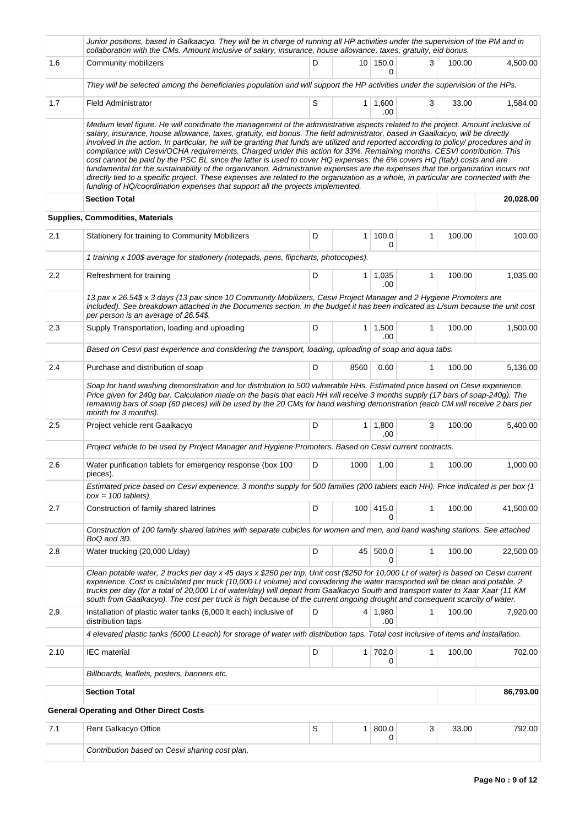|         | Junior positions, based in Galkaacyo. They will be in charge of running all HP activities under the supervision of the PM and in<br>collaboration with the CMs. Amount inclusive of salary, insurance, house allowance, taxes, gratuity, eid bonus.                                                                                                                                                                                                                                                                                                                                                                                                                                                                                                                                                                                                                                                                                                                                                                             |   |                  |                       |              |        |           |
|---------|---------------------------------------------------------------------------------------------------------------------------------------------------------------------------------------------------------------------------------------------------------------------------------------------------------------------------------------------------------------------------------------------------------------------------------------------------------------------------------------------------------------------------------------------------------------------------------------------------------------------------------------------------------------------------------------------------------------------------------------------------------------------------------------------------------------------------------------------------------------------------------------------------------------------------------------------------------------------------------------------------------------------------------|---|------------------|-----------------------|--------------|--------|-----------|
| 1.6     | Community mobilizers                                                                                                                                                                                                                                                                                                                                                                                                                                                                                                                                                                                                                                                                                                                                                                                                                                                                                                                                                                                                            | D |                  | 10 150.0<br>0         | 3            | 100.00 | 4,500.00  |
|         | They will be selected among the beneficiaries population and will support the HP activities under the supervision of the HPs.                                                                                                                                                                                                                                                                                                                                                                                                                                                                                                                                                                                                                                                                                                                                                                                                                                                                                                   |   |                  |                       |              |        |           |
| 1.7     | <b>Field Administrator</b>                                                                                                                                                                                                                                                                                                                                                                                                                                                                                                                                                                                                                                                                                                                                                                                                                                                                                                                                                                                                      | S | 1 <sup>1</sup>   | 1,600<br>.00          | 3            | 33.00  | 1,584.00  |
|         | Medium level figure. He will coordinate the management of the administrative aspects related to the project. Amount inclusive of<br>salary, insurance, house allowance, taxes, gratuity, eid bonus. The field administrator, based in Gaalkacyo, will be directly<br>involved in the action. In particular, he will be granting that funds are utilized and reported according to policy/ procedures and in<br>compliance with Cesvi/OCHA requirements. Charged under this action for 33%. Remaining months, CESVI contribution. This<br>cost cannot be paid by the PSC BL since the latter is used to cover HQ expenses: the 6% covers HQ (Italy) costs and are<br>fundamental for the sustainability of the organization. Administrative expenses are the expenses that the organization incurs not<br>directly tied to a specific project. These expenses are related to the organization as a whole, in particular are connected with the<br>funding of HQ/coordination expenses that support all the projects implemented. |   |                  |                       |              |        |           |
|         | <b>Section Total</b>                                                                                                                                                                                                                                                                                                                                                                                                                                                                                                                                                                                                                                                                                                                                                                                                                                                                                                                                                                                                            |   |                  |                       |              |        | 20,028.00 |
|         | Supplies, Commodities, Materials                                                                                                                                                                                                                                                                                                                                                                                                                                                                                                                                                                                                                                                                                                                                                                                                                                                                                                                                                                                                |   |                  |                       |              |        |           |
| 2.1     | Stationery for training to Community Mobilizers                                                                                                                                                                                                                                                                                                                                                                                                                                                                                                                                                                                                                                                                                                                                                                                                                                                                                                                                                                                 | D | 1                | 100.0<br>$\Omega$     | 1            | 100.00 | 100.00    |
|         | 1 training x 100\$ average for stationery (notepads, pens, flipcharts, photocopies).                                                                                                                                                                                                                                                                                                                                                                                                                                                                                                                                                                                                                                                                                                                                                                                                                                                                                                                                            |   |                  |                       |              |        |           |
| $2.2\,$ | Refreshment for training                                                                                                                                                                                                                                                                                                                                                                                                                                                                                                                                                                                                                                                                                                                                                                                                                                                                                                                                                                                                        | D |                  | $1 \mid 1,035$<br>.00 | $\mathbf{1}$ | 100.00 | 1,035.00  |
|         | 13 pax x 26.54\$ x 3 days (13 pax since 10 Community Mobilizers, Cesvi Project Manager and 2 Hygiene Promoters are<br>included). See breakdown attached in the Documents section. In the budget it has been indicated as L/sum because the unit cost<br>per person is an average of 26.54\$.                                                                                                                                                                                                                                                                                                                                                                                                                                                                                                                                                                                                                                                                                                                                    |   |                  |                       |              |        |           |
| 2.3     | Supply Transportation, loading and uploading                                                                                                                                                                                                                                                                                                                                                                                                                                                                                                                                                                                                                                                                                                                                                                                                                                                                                                                                                                                    | D | 1 <sup>1</sup>   | 1,500<br>.00          | $\mathbf{1}$ | 100.00 | 1,500.00  |
|         | Based on Cesvi past experience and considering the transport, loading, uploading of soap and aqua tabs.                                                                                                                                                                                                                                                                                                                                                                                                                                                                                                                                                                                                                                                                                                                                                                                                                                                                                                                         |   |                  |                       |              |        |           |
| 2.4     | Purchase and distribution of soap                                                                                                                                                                                                                                                                                                                                                                                                                                                                                                                                                                                                                                                                                                                                                                                                                                                                                                                                                                                               | D | 8560             | 0.60                  | 1            | 100.00 | 5,136.00  |
|         | Soap for hand washing demonstration and for distribution to 500 vulnerable HHs. Estimated price based on Cesvi experience.<br>Price given for 240g bar. Calculation made on the basis that each HH will receive 3 months supply (17 bars of soap-240g). The<br>remaining bars of soap (60 pieces) will be used by the 20 CMs for hand washing demonstration (each CM will receive 2 bars per<br>month for 3 months).                                                                                                                                                                                                                                                                                                                                                                                                                                                                                                                                                                                                            |   |                  |                       |              |        |           |
| 2.5     | Project vehicle rent Gaalkacyo                                                                                                                                                                                                                                                                                                                                                                                                                                                                                                                                                                                                                                                                                                                                                                                                                                                                                                                                                                                                  | D |                  | $1 \mid 1,800$<br>.00 | 3            | 100.00 | 5,400.00  |
|         | Project vehicle to be used by Project Manager and Hygiene Promoters. Based on Cesvi current contracts.                                                                                                                                                                                                                                                                                                                                                                                                                                                                                                                                                                                                                                                                                                                                                                                                                                                                                                                          |   |                  |                       |              |        |           |
| 2.6     | Water purification tablets for emergency response (box 100<br>pieces).                                                                                                                                                                                                                                                                                                                                                                                                                                                                                                                                                                                                                                                                                                                                                                                                                                                                                                                                                          | D | 1000             | 1.00                  | 1            | 100.00 | 1,000.00  |
|         | Estimated price based on Cesvi experience. 3 months supply for 500 families (200 tablets each HH). Price indicated is per box (1<br>$box = 100$ tablets).                                                                                                                                                                                                                                                                                                                                                                                                                                                                                                                                                                                                                                                                                                                                                                                                                                                                       |   |                  |                       |              |        |           |
| 2.7     | Construction of family shared latrines                                                                                                                                                                                                                                                                                                                                                                                                                                                                                                                                                                                                                                                                                                                                                                                                                                                                                                                                                                                          | D | 100 <sup>1</sup> | 415.0<br>0            | $\mathbf{1}$ | 100.00 | 41,500.00 |
|         | Construction of 100 family shared latrines with separate cubicles for women and men, and hand washing stations. See attached<br>BoQ and 3D.                                                                                                                                                                                                                                                                                                                                                                                                                                                                                                                                                                                                                                                                                                                                                                                                                                                                                     |   |                  |                       |              |        |           |
| 2.8     | Water trucking (20,000 L/day)                                                                                                                                                                                                                                                                                                                                                                                                                                                                                                                                                                                                                                                                                                                                                                                                                                                                                                                                                                                                   | D |                  | 45 500.0<br>0         | 1            | 100.00 | 22,500.00 |
|         | Clean potable water, 2 trucks per day x 45 days x \$250 per trip. Unit cost (\$250 for 10,000 Lt of water) is based on Cesvi current<br>experience. Cost is calculated per truck (10,000 Lt volume) and considering the water transported will be clean and potable. 2<br>trucks per day (for a total of 20,000 Lt of water/day) will depart from Gaalkacyo South and transport water to Xaar Xaar (11 KM<br>south from Gaalkacyo). The cost per truck is high because of the current ongoing drought and consequent scarcity of water.                                                                                                                                                                                                                                                                                                                                                                                                                                                                                         |   |                  |                       |              |        |           |
| 2.9     | Installation of plastic water tanks (6,000 It each) inclusive of<br>distribution taps                                                                                                                                                                                                                                                                                                                                                                                                                                                                                                                                                                                                                                                                                                                                                                                                                                                                                                                                           | D |                  | $4 \mid 1,980$<br>.00 | 1            | 100.00 | 7,920.00  |
|         | 4 elevated plastic tanks (6000 Lt each) for storage of water with distribution taps. Total cost inclusive of items and installation.                                                                                                                                                                                                                                                                                                                                                                                                                                                                                                                                                                                                                                                                                                                                                                                                                                                                                            |   |                  |                       |              |        |           |
| 2.10    | <b>IEC</b> material                                                                                                                                                                                                                                                                                                                                                                                                                                                                                                                                                                                                                                                                                                                                                                                                                                                                                                                                                                                                             | D |                  | $1 \mid 702.0$<br>0   | $\mathbf{1}$ | 100.00 | 702.00    |
|         | Billboards, leaflets, posters, banners etc.                                                                                                                                                                                                                                                                                                                                                                                                                                                                                                                                                                                                                                                                                                                                                                                                                                                                                                                                                                                     |   |                  |                       |              |        |           |
|         | <b>Section Total</b>                                                                                                                                                                                                                                                                                                                                                                                                                                                                                                                                                                                                                                                                                                                                                                                                                                                                                                                                                                                                            |   |                  |                       |              |        | 86,793.00 |
|         | <b>General Operating and Other Direct Costs</b>                                                                                                                                                                                                                                                                                                                                                                                                                                                                                                                                                                                                                                                                                                                                                                                                                                                                                                                                                                                 |   |                  |                       |              |        |           |
| 7.1     | Rent Galkacyo Office                                                                                                                                                                                                                                                                                                                                                                                                                                                                                                                                                                                                                                                                                                                                                                                                                                                                                                                                                                                                            | S | 1 <sup>1</sup>   | 800.0<br>0            | 3            | 33.00  | 792.00    |
|         | Contribution based on Cesvi sharing cost plan.                                                                                                                                                                                                                                                                                                                                                                                                                                                                                                                                                                                                                                                                                                                                                                                                                                                                                                                                                                                  |   |                  |                       |              |        |           |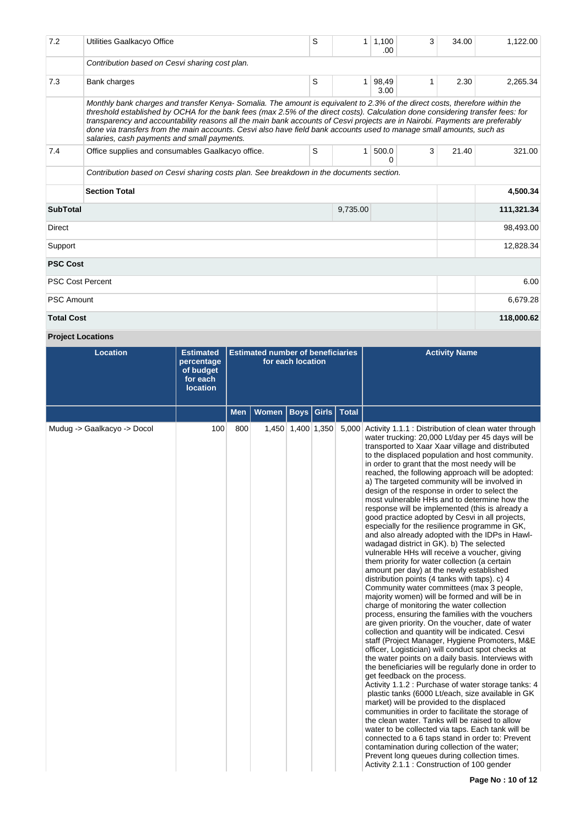| 7.2                     | Utilities Gaalkacyo Office                                                                                                                                                                                                                                                                                                                                                                                                                                                                                                                                            | S | $\mathbf{1}$ | 1,100<br>.00  | 3 | 34.00 | 1.122.00   |
|-------------------------|-----------------------------------------------------------------------------------------------------------------------------------------------------------------------------------------------------------------------------------------------------------------------------------------------------------------------------------------------------------------------------------------------------------------------------------------------------------------------------------------------------------------------------------------------------------------------|---|--------------|---------------|---|-------|------------|
|                         | Contribution based on Cesvi sharing cost plan.                                                                                                                                                                                                                                                                                                                                                                                                                                                                                                                        |   |              |               |   |       |            |
| 7.3                     | Bank charges                                                                                                                                                                                                                                                                                                                                                                                                                                                                                                                                                          | S | $\mathbf{1}$ | 98,49<br>3.00 | 1 | 2.30  | 2,265.34   |
|                         | Monthly bank charges and transfer Kenya-Somalia. The amount is equivalent to 2.3% of the direct costs, therefore within the<br>threshold established by OCHA for the bank fees (max 2.5% of the direct costs). Calculation done considering transfer fees: for<br>transparency and accountability reasons all the main bank accounts of Cesvi projects are in Nairobi. Payments are preferably<br>done via transfers from the main accounts. Cesvi also have field bank accounts used to manage small amounts, such as<br>salaries, cash payments and small payments. |   |              |               |   |       |            |
| 7.4                     | Office supplies and consumables Gaalkacyo office.                                                                                                                                                                                                                                                                                                                                                                                                                                                                                                                     | S | $\mathbf{1}$ | 500.0<br>0    | 3 | 21.40 | 321.00     |
|                         | Contribution based on Cesvi sharing costs plan. See breakdown in the documents section.                                                                                                                                                                                                                                                                                                                                                                                                                                                                               |   |              |               |   |       |            |
|                         | <b>Section Total</b>                                                                                                                                                                                                                                                                                                                                                                                                                                                                                                                                                  |   |              |               |   |       | 4.500.34   |
| <b>SubTotal</b>         |                                                                                                                                                                                                                                                                                                                                                                                                                                                                                                                                                                       |   |              |               |   |       |            |
|                         |                                                                                                                                                                                                                                                                                                                                                                                                                                                                                                                                                                       |   | 9,735.00     |               |   |       | 111,321.34 |
| <b>Direct</b>           |                                                                                                                                                                                                                                                                                                                                                                                                                                                                                                                                                                       |   |              |               |   |       | 98,493.00  |
| Support                 |                                                                                                                                                                                                                                                                                                                                                                                                                                                                                                                                                                       |   |              |               |   |       | 12,828.34  |
| <b>PSC Cost</b>         |                                                                                                                                                                                                                                                                                                                                                                                                                                                                                                                                                                       |   |              |               |   |       |            |
| <b>PSC Cost Percent</b> |                                                                                                                                                                                                                                                                                                                                                                                                                                                                                                                                                                       |   |              |               |   |       | 6.00       |
| <b>PSC Amount</b>       |                                                                                                                                                                                                                                                                                                                                                                                                                                                                                                                                                                       |   |              |               |   |       | 6,679.28   |

**Project Locations**

| <b>Location</b>             | <b>Estimated</b><br>percentage<br>of budget<br>for each<br><b>location</b> | <b>Estimated number of beneficiaries</b><br>for each location |              |             |                   |              | <b>Activity Name</b>                                                                                                                                                                                                                                                                                                                                                                                                                                                                                                                                                                                                                                                                                                                                                                                                                                                                                                                                                                                                                                                                                                                                                                                                                                                                                                                                                                                                                                                                                                                                                                                                                                                                                                                                                                                                                                                                                                                                                                                                      |
|-----------------------------|----------------------------------------------------------------------------|---------------------------------------------------------------|--------------|-------------|-------------------|--------------|---------------------------------------------------------------------------------------------------------------------------------------------------------------------------------------------------------------------------------------------------------------------------------------------------------------------------------------------------------------------------------------------------------------------------------------------------------------------------------------------------------------------------------------------------------------------------------------------------------------------------------------------------------------------------------------------------------------------------------------------------------------------------------------------------------------------------------------------------------------------------------------------------------------------------------------------------------------------------------------------------------------------------------------------------------------------------------------------------------------------------------------------------------------------------------------------------------------------------------------------------------------------------------------------------------------------------------------------------------------------------------------------------------------------------------------------------------------------------------------------------------------------------------------------------------------------------------------------------------------------------------------------------------------------------------------------------------------------------------------------------------------------------------------------------------------------------------------------------------------------------------------------------------------------------------------------------------------------------------------------------------------------------|
|                             |                                                                            | <b>Men</b>                                                    | <b>Women</b> | <b>Boys</b> | Girls             | <b>Total</b> |                                                                                                                                                                                                                                                                                                                                                                                                                                                                                                                                                                                                                                                                                                                                                                                                                                                                                                                                                                                                                                                                                                                                                                                                                                                                                                                                                                                                                                                                                                                                                                                                                                                                                                                                                                                                                                                                                                                                                                                                                           |
| Mudug -> Gaalkacyo -> Docol | 100                                                                        | 800                                                           |              |             | 1,450 1,400 1,350 |              | 5,000 Activity 1.1.1 : Distribution of clean water through<br>water trucking: 20,000 Lt/day per 45 days will be<br>transported to Xaar Xaar village and distributed<br>to the displaced population and host community.<br>in order to grant that the most needy will be<br>reached, the following approach will be adopted:<br>a) The targeted community will be involved in<br>design of the response in order to select the<br>most vulnerable HHs and to determine how the<br>response will be implemented (this is already a<br>good practice adopted by Cesvi in all projects,<br>especially for the resilience programme in GK,<br>and also already adopted with the IDPs in Hawl-<br>wadagad district in GK). b) The selected<br>vulnerable HHs will receive a voucher, giving<br>them priority for water collection (a certain<br>amount per day) at the newly established<br>distribution points (4 tanks with taps). c) 4<br>Community water committees (max 3 people,<br>majority women) will be formed and will be in<br>charge of monitoring the water collection<br>process, ensuring the families with the vouchers<br>are given priority. On the voucher, date of water<br>collection and quantity will be indicated. Cesvi<br>staff (Project Manager, Hygiene Promoters, M&E<br>officer, Logistician) will conduct spot checks at<br>the water points on a daily basis. Interviews with<br>the beneficiaries will be regularly done in order to<br>get feedback on the process.<br>Activity 1.1.2 : Purchase of water storage tanks: 4<br>plastic tanks (6000 Lt/each, size available in GK<br>market) will be provided to the displaced<br>communities in order to facilitate the storage of<br>the clean water. Tanks will be raised to allow<br>water to be collected via taps. Each tank will be<br>connected to a 6 taps stand in order to: Prevent<br>contamination during collection of the water;<br>Prevent long queues during collection times.<br>Activity 2.1.1 : Construction of 100 gender |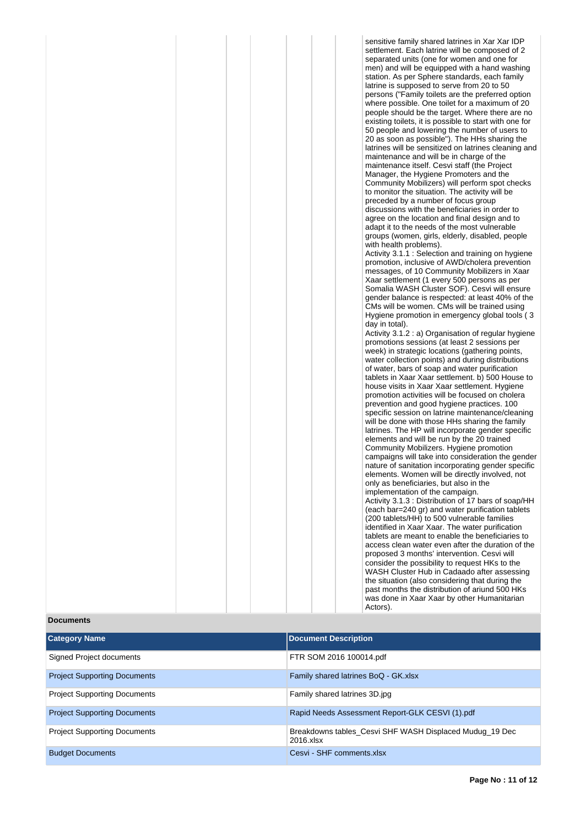| sensitive family shared latrines in Xar Xar IDP         |
|---------------------------------------------------------|
|                                                         |
| settlement. Each latrine will be composed of 2          |
| separated units (one for women and one for              |
| men) and will be equipped with a hand washing           |
|                                                         |
| station. As per Sphere standards, each family           |
| latrine is supposed to serve from 20 to 50              |
|                                                         |
| persons ("Family toilets are the preferred option       |
| where possible. One toilet for a maximum of 20          |
| people should be the target. Where there are no         |
|                                                         |
| existing toilets, it is possible to start with one for  |
| 50 people and lowering the number of users to           |
| 20 as soon as possible"). The HHs sharing the           |
|                                                         |
| latrines will be sensitized on latrines cleaning and    |
| maintenance and will be in charge of the                |
| maintenance itself. Cesvi staff (the Project            |
|                                                         |
| Manager, the Hygiene Promoters and the                  |
| Community Mobilizers) will perform spot checks          |
| to monitor the situation. The activity will be          |
|                                                         |
| preceded by a number of focus group                     |
| discussions with the beneficiaries in order to          |
| agree on the location and final design and to           |
| adapt it to the needs of the most vulnerable            |
|                                                         |
| groups (women, girls, elderly, disabled, people         |
| with health problems).                                  |
| Activity 3.1.1 : Selection and training on hygiene      |
|                                                         |
| promotion, inclusive of AWD/cholera prevention          |
| messages, of 10 Community Mobilizers in Xaar            |
| Xaar settlement (1 every 500 persons as per             |
|                                                         |
| Somalia WASH Cluster SOF). Cesvi will ensure            |
| gender balance is respected: at least 40% of the        |
| CMs will be women. CMs will be trained using            |
| Hygiene promotion in emergency global tools (3          |
|                                                         |
|                                                         |
| day in total).                                          |
|                                                         |
| Activity 3.1.2 : a) Organisation of regular hygiene     |
| promotions sessions (at least 2 sessions per            |
| week) in strategic locations (gathering points,         |
| water collection points) and during distributions       |
|                                                         |
| of water, bars of soap and water purification           |
| tablets in Xaar Xaar settlement. b) 500 House to        |
| house visits in Xaar Xaar settlement. Hygiene           |
| promotion activities will be focused on cholera         |
|                                                         |
| prevention and good hygiene practices. 100              |
| specific session on latrine maintenance/cleaning        |
| will be done with those HHs sharing the family          |
|                                                         |
| latrines. The HP will incorporate gender specific       |
| elements and will be run by the 20 trained              |
| Community Mobilizers. Hygiene promotion                 |
| campaigns will take into consideration the gender       |
|                                                         |
| nature of sanitation incorporating gender specific      |
| elements. Women will be directly involved, not          |
| only as beneficiaries, but also in the                  |
| implementation of the campaign.                         |
|                                                         |
| Activity 3.1.3 : Distribution of 17 bars of soap/HH     |
| (each bar=240 gr) and water purification tablets        |
| (200 tablets/HH) to 500 vulnerable families             |
| identified in Xaar Xaar. The water purification         |
|                                                         |
| tablets are meant to enable the beneficiaries to        |
| access clean water even after the duration of the       |
| proposed 3 months' intervention. Cesvi will             |
|                                                         |
| consider the possibility to request HKs to the          |
| WASH Cluster Hub in Cadaado after assessing             |
| the situation (also considering that during the         |
| past months the distribution of ariund 500 HKs          |
|                                                         |
| was done in Xaar Xaar by other Humanitarian<br>Actors). |

# **Documents**

| <b>Category Name</b>                | <b>Document Description</b>                                          |
|-------------------------------------|----------------------------------------------------------------------|
| Signed Project documents            | FTR SOM 2016 100014.pdf                                              |
| <b>Project Supporting Documents</b> | Family shared latrines BoQ - GK.xlsx                                 |
| <b>Project Supporting Documents</b> | Family shared latrines 3D.jpg                                        |
| <b>Project Supporting Documents</b> | Rapid Needs Assessment Report-GLK CESVI (1).pdf                      |
| <b>Project Supporting Documents</b> | Breakdowns tables Cesvi SHF WASH Displaced Muduq 19 Dec<br>2016 xlsx |
| <b>Budget Documents</b>             | Cesvi - SHF comments.xlsx                                            |